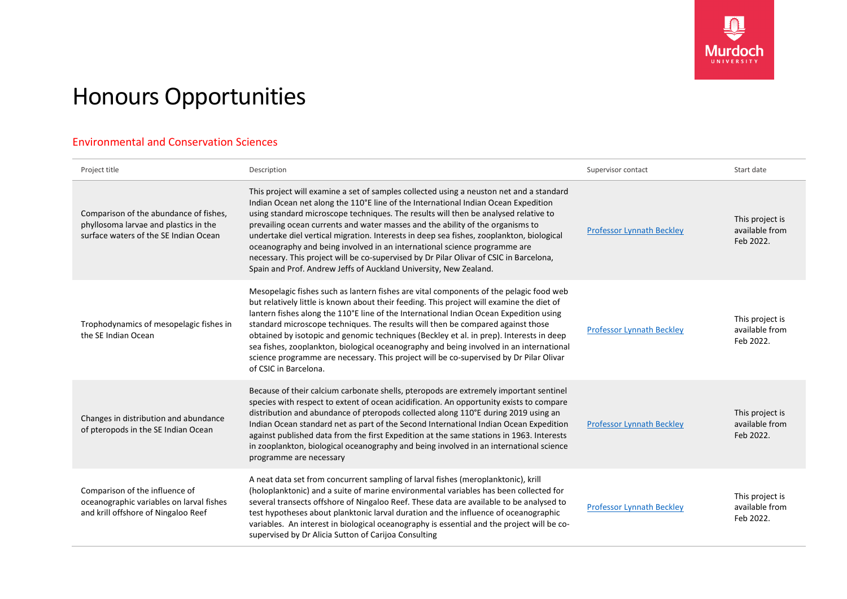

## Honours Opportunities

## Environmental and Conservation Sciences

| Project title                                                                                                            | Description                                                                                                                                                                                                                                                                                                                                                                                                                                                                                                                                                                                                                                                                                    | Supervisor contact               | Start date                                     |
|--------------------------------------------------------------------------------------------------------------------------|------------------------------------------------------------------------------------------------------------------------------------------------------------------------------------------------------------------------------------------------------------------------------------------------------------------------------------------------------------------------------------------------------------------------------------------------------------------------------------------------------------------------------------------------------------------------------------------------------------------------------------------------------------------------------------------------|----------------------------------|------------------------------------------------|
| Comparison of the abundance of fishes,<br>phyllosoma larvae and plastics in the<br>surface waters of the SE Indian Ocean | This project will examine a set of samples collected using a neuston net and a standard<br>Indian Ocean net along the 110°E line of the International Indian Ocean Expedition<br>using standard microscope techniques. The results will then be analysed relative to<br>prevailing ocean currents and water masses and the ability of the organisms to<br>undertake diel vertical migration. Interests in deep sea fishes, zooplankton, biological<br>oceanography and being involved in an international science programme are<br>necessary. This project will be co-supervised by Dr Pilar Olivar of CSIC in Barcelona,<br>Spain and Prof. Andrew Jeffs of Auckland University, New Zealand. | <b>Professor Lynnath Beckley</b> | This project is<br>available from<br>Feb 2022. |
| Trophodynamics of mesopelagic fishes in<br>the SE Indian Ocean                                                           | Mesopelagic fishes such as lantern fishes are vital components of the pelagic food web<br>but relatively little is known about their feeding. This project will examine the diet of<br>lantern fishes along the 110°E line of the International Indian Ocean Expedition using<br>standard microscope techniques. The results will then be compared against those<br>obtained by isotopic and genomic techniques (Beckley et al. in prep). Interests in deep<br>sea fishes, zooplankton, biological oceanography and being involved in an international<br>science programme are necessary. This project will be co-supervised by Dr Pilar Olivar<br>of CSIC in Barcelona.                      | <b>Professor Lynnath Beckley</b> | This project is<br>available from<br>Feb 2022. |
| Changes in distribution and abundance<br>of pteropods in the SE Indian Ocean                                             | Because of their calcium carbonate shells, pteropods are extremely important sentinel<br>species with respect to extent of ocean acidification. An opportunity exists to compare<br>distribution and abundance of pteropods collected along 110°E during 2019 using an<br>Indian Ocean standard net as part of the Second International Indian Ocean Expedition<br>against published data from the first Expedition at the same stations in 1963. Interests<br>in zooplankton, biological oceanography and being involved in an international science<br>programme are necessary                                                                                                               | <b>Professor Lynnath Beckley</b> | This project is<br>available from<br>Feb 2022. |
| Comparison of the influence of<br>oceanographic variables on larval fishes<br>and krill offshore of Ningaloo Reef        | A neat data set from concurrent sampling of larval fishes (meroplanktonic), krill<br>(holoplanktonic) and a suite of marine environmental variables has been collected for<br>several transects offshore of Ningaloo Reef. These data are available to be analysed to<br>test hypotheses about planktonic larval duration and the influence of oceanographic<br>variables. An interest in biological oceanography is essential and the project will be co-<br>supervised by Dr Alicia Sutton of Carijoa Consulting                                                                                                                                                                             | <b>Professor Lynnath Beckley</b> | This project is<br>available from<br>Feb 2022. |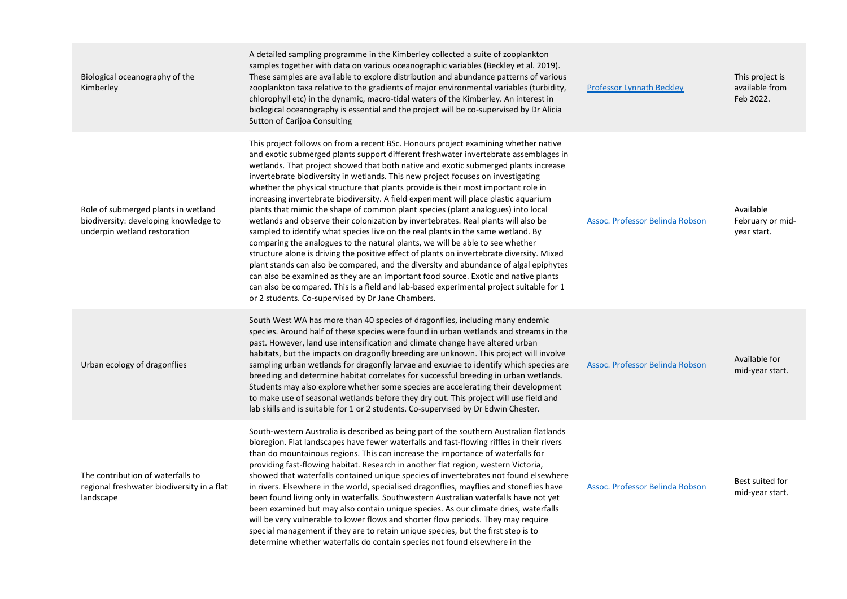| Biological oceanography of the<br>Kimberley                                                                  | A detailed sampling programme in the Kimberley collected a suite of zooplankton<br>samples together with data on various oceanographic variables (Beckley et al. 2019).<br>These samples are available to explore distribution and abundance patterns of various<br>zooplankton taxa relative to the gradients of major environmental variables (turbidity,<br>chlorophyll etc) in the dynamic, macro-tidal waters of the Kimberley. An interest in<br>biological oceanography is essential and the project will be co-supervised by Dr Alicia<br>Sutton of Carijoa Consulting                                                                                                                                                                                                                                                                                                                                                                                                                                                                                                                                                                                                                                                                                                                                   | <b>Professor Lynnath Beckley</b>       | This project is<br>available from<br>Feb 2022. |
|--------------------------------------------------------------------------------------------------------------|------------------------------------------------------------------------------------------------------------------------------------------------------------------------------------------------------------------------------------------------------------------------------------------------------------------------------------------------------------------------------------------------------------------------------------------------------------------------------------------------------------------------------------------------------------------------------------------------------------------------------------------------------------------------------------------------------------------------------------------------------------------------------------------------------------------------------------------------------------------------------------------------------------------------------------------------------------------------------------------------------------------------------------------------------------------------------------------------------------------------------------------------------------------------------------------------------------------------------------------------------------------------------------------------------------------|----------------------------------------|------------------------------------------------|
| Role of submerged plants in wetland<br>biodiversity: developing knowledge to<br>underpin wetland restoration | This project follows on from a recent BSc. Honours project examining whether native<br>and exotic submerged plants support different freshwater invertebrate assemblages in<br>wetlands. That project showed that both native and exotic submerged plants increase<br>invertebrate biodiversity in wetlands. This new project focuses on investigating<br>whether the physical structure that plants provide is their most important role in<br>increasing invertebrate biodiversity. A field experiment will place plastic aquarium<br>plants that mimic the shape of common plant species (plant analogues) into local<br>wetlands and observe their colonization by invertebrates. Real plants will also be<br>sampled to identify what species live on the real plants in the same wetland. By<br>comparing the analogues to the natural plants, we will be able to see whether<br>structure alone is driving the positive effect of plants on invertebrate diversity. Mixed<br>plant stands can also be compared, and the diversity and abundance of algal epiphytes<br>can also be examined as they are an important food source. Exotic and native plants<br>can also be compared. This is a field and lab-based experimental project suitable for 1<br>or 2 students. Co-supervised by Dr Jane Chambers. | Assoc. Professor Belinda Robson        | Available<br>February or mid-<br>year start.   |
| Urban ecology of dragonflies                                                                                 | South West WA has more than 40 species of dragonflies, including many endemic<br>species. Around half of these species were found in urban wetlands and streams in the<br>past. However, land use intensification and climate change have altered urban<br>habitats, but the impacts on dragonfly breeding are unknown. This project will involve<br>sampling urban wetlands for dragonfly larvae and exuviae to identify which species are<br>breeding and determine habitat correlates for successful breeding in urban wetlands.<br>Students may also explore whether some species are accelerating their development<br>to make use of seasonal wetlands before they dry out. This project will use field and<br>lab skills and is suitable for 1 or 2 students. Co-supervised by Dr Edwin Chester.                                                                                                                                                                                                                                                                                                                                                                                                                                                                                                          | <b>Assoc. Professor Belinda Robson</b> | Available for<br>mid-year start.               |
| The contribution of waterfalls to<br>regional freshwater biodiversity in a flat<br>landscape                 | South-western Australia is described as being part of the southern Australian flatlands<br>bioregion. Flat landscapes have fewer waterfalls and fast-flowing riffles in their rivers<br>than do mountainous regions. This can increase the importance of waterfalls for<br>providing fast-flowing habitat. Research in another flat region, western Victoria,<br>showed that waterfalls contained unique species of invertebrates not found elsewhere<br>in rivers. Elsewhere in the world, specialised dragonflies, mayflies and stoneflies have<br>been found living only in waterfalls. Southwestern Australian waterfalls have not yet<br>been examined but may also contain unique species. As our climate dries, waterfalls<br>will be very vulnerable to lower flows and shorter flow periods. They may require<br>special management if they are to retain unique species, but the first step is to<br>determine whether waterfalls do contain species not found elsewhere in the                                                                                                                                                                                                                                                                                                                        | Assoc. Professor Belinda Robson        | Best suited for<br>mid-year start.             |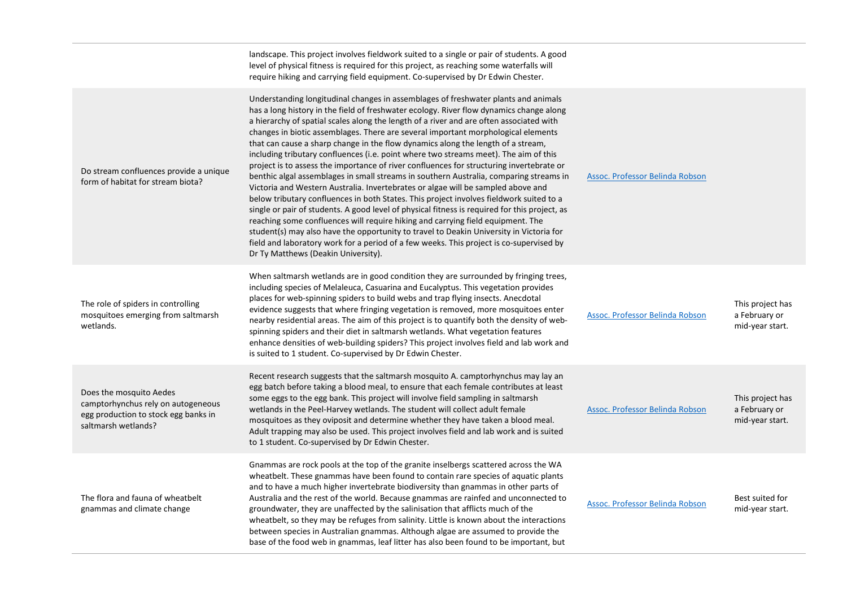|                                                                                                                              | landscape. This project involves fieldwork suited to a single or pair of students. A good<br>level of physical fitness is required for this project, as reaching some waterfalls will<br>require hiking and carrying field equipment. Co-supervised by Dr Edwin Chester.                                                                                                                                                                                                                                                                                                                                                                                                                                                                                                                                                                                                                                                                                                                                                                                                                                                                                                                                                                                                                                                        |                                 |                                                      |
|------------------------------------------------------------------------------------------------------------------------------|---------------------------------------------------------------------------------------------------------------------------------------------------------------------------------------------------------------------------------------------------------------------------------------------------------------------------------------------------------------------------------------------------------------------------------------------------------------------------------------------------------------------------------------------------------------------------------------------------------------------------------------------------------------------------------------------------------------------------------------------------------------------------------------------------------------------------------------------------------------------------------------------------------------------------------------------------------------------------------------------------------------------------------------------------------------------------------------------------------------------------------------------------------------------------------------------------------------------------------------------------------------------------------------------------------------------------------|---------------------------------|------------------------------------------------------|
| Do stream confluences provide a unique<br>form of habitat for stream biota?                                                  | Understanding longitudinal changes in assemblages of freshwater plants and animals<br>has a long history in the field of freshwater ecology. River flow dynamics change along<br>a hierarchy of spatial scales along the length of a river and are often associated with<br>changes in biotic assemblages. There are several important morphological elements<br>that can cause a sharp change in the flow dynamics along the length of a stream,<br>including tributary confluences (i.e. point where two streams meet). The aim of this<br>project is to assess the importance of river confluences for structuring invertebrate or<br>benthic algal assemblages in small streams in southern Australia, comparing streams in<br>Victoria and Western Australia. Invertebrates or algae will be sampled above and<br>below tributary confluences in both States. This project involves fieldwork suited to a<br>single or pair of students. A good level of physical fitness is required for this project, as<br>reaching some confluences will require hiking and carrying field equipment. The<br>student(s) may also have the opportunity to travel to Deakin University in Victoria for<br>field and laboratory work for a period of a few weeks. This project is co-supervised by<br>Dr Ty Matthews (Deakin University). | Assoc. Professor Belinda Robson |                                                      |
| The role of spiders in controlling<br>mosquitoes emerging from saltmarsh<br>wetlands.                                        | When saltmarsh wetlands are in good condition they are surrounded by fringing trees,<br>including species of Melaleuca, Casuarina and Eucalyptus. This vegetation provides<br>places for web-spinning spiders to build webs and trap flying insects. Anecdotal<br>evidence suggests that where fringing vegetation is removed, more mosquitoes enter<br>nearby residential areas. The aim of this project is to quantify both the density of web-<br>spinning spiders and their diet in saltmarsh wetlands. What vegetation features<br>enhance densities of web-building spiders? This project involves field and lab work and<br>is suited to 1 student. Co-supervised by Dr Edwin Chester.                                                                                                                                                                                                                                                                                                                                                                                                                                                                                                                                                                                                                                   | Assoc. Professor Belinda Robson | This project has<br>a February or<br>mid-year start. |
| Does the mosquito Aedes<br>camptorhynchus rely on autogeneous<br>egg production to stock egg banks in<br>saltmarsh wetlands? | Recent research suggests that the saltmarsh mosquito A. camptorhynchus may lay an<br>egg batch before taking a blood meal, to ensure that each female contributes at least<br>some eggs to the egg bank. This project will involve field sampling in saltmarsh<br>wetlands in the Peel-Harvey wetlands. The student will collect adult female<br>mosquitoes as they oviposit and determine whether they have taken a blood meal.<br>Adult trapping may also be used. This project involves field and lab work and is suited<br>to 1 student. Co-supervised by Dr Edwin Chester.                                                                                                                                                                                                                                                                                                                                                                                                                                                                                                                                                                                                                                                                                                                                                 | Assoc. Professor Belinda Robson | This project has<br>a February or<br>mid-year start. |
| The flora and fauna of wheatbelt<br>gnammas and climate change                                                               | Gnammas are rock pools at the top of the granite inselbergs scattered across the WA<br>wheatbelt. These gnammas have been found to contain rare species of aquatic plants<br>and to have a much higher invertebrate biodiversity than gnammas in other parts of<br>Australia and the rest of the world. Because gnammas are rainfed and unconnected to<br>groundwater, they are unaffected by the salinisation that afflicts much of the<br>wheatbelt, so they may be refuges from salinity. Little is known about the interactions<br>between species in Australian gnammas. Although algae are assumed to provide the<br>base of the food web in gnammas, leaf litter has also been found to be important, but                                                                                                                                                                                                                                                                                                                                                                                                                                                                                                                                                                                                                | Assoc. Professor Belinda Robson | Best suited for<br>mid-year start.                   |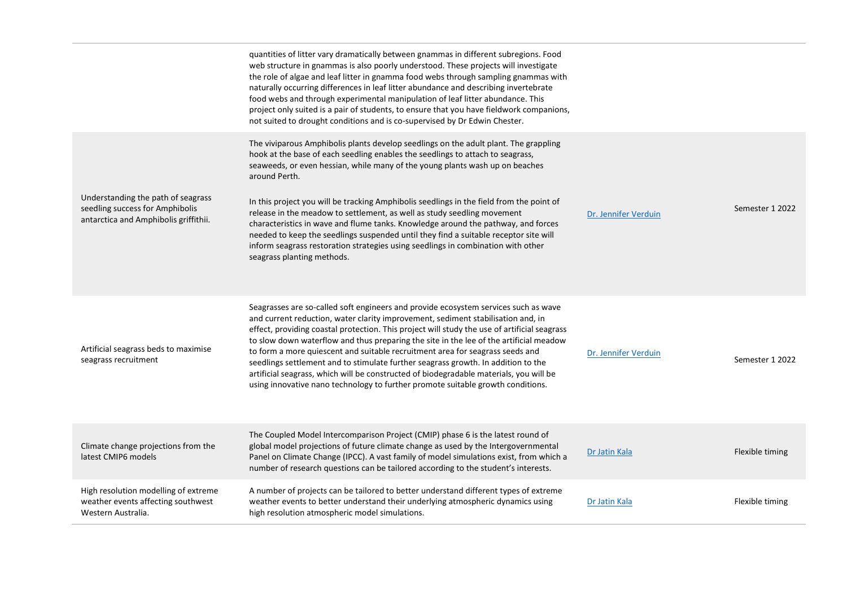|                                                                                                                | quantities of litter vary dramatically between gnammas in different subregions. Food<br>web structure in gnammas is also poorly understood. These projects will investigate<br>the role of algae and leaf litter in gnamma food webs through sampling gnammas with<br>naturally occurring differences in leaf litter abundance and describing invertebrate<br>food webs and through experimental manipulation of leaf litter abundance. This<br>project only suited is a pair of students, to ensure that you have fieldwork companions,<br>not suited to drought conditions and is co-supervised by Dr Edwin Chester.                                                                                                                        |                      |                 |
|----------------------------------------------------------------------------------------------------------------|-----------------------------------------------------------------------------------------------------------------------------------------------------------------------------------------------------------------------------------------------------------------------------------------------------------------------------------------------------------------------------------------------------------------------------------------------------------------------------------------------------------------------------------------------------------------------------------------------------------------------------------------------------------------------------------------------------------------------------------------------|----------------------|-----------------|
| Understanding the path of seagrass<br>seedling success for Amphibolis<br>antarctica and Amphibolis griffithii. | The viviparous Amphibolis plants develop seedlings on the adult plant. The grappling<br>hook at the base of each seedling enables the seedlings to attach to seagrass,<br>seaweeds, or even hessian, while many of the young plants wash up on beaches<br>around Perth.<br>In this project you will be tracking Amphibolis seedlings in the field from the point of<br>release in the meadow to settlement, as well as study seedling movement<br>characteristics in wave and flume tanks. Knowledge around the pathway, and forces<br>needed to keep the seedlings suspended until they find a suitable receptor site will<br>inform seagrass restoration strategies using seedlings in combination with other<br>seagrass planting methods. | Dr. Jennifer Verduin | Semester 1 2022 |
| Artificial seagrass beds to maximise<br>seagrass recruitment                                                   | Seagrasses are so-called soft engineers and provide ecosystem services such as wave<br>and current reduction, water clarity improvement, sediment stabilisation and, in<br>effect, providing coastal protection. This project will study the use of artificial seagrass<br>to slow down waterflow and thus preparing the site in the lee of the artificial meadow<br>to form a more quiescent and suitable recruitment area for seagrass seeds and<br>seedlings settlement and to stimulate further seagrass growth. In addition to the<br>artificial seagrass, which will be constructed of biodegradable materials, you will be<br>using innovative nano technology to further promote suitable growth conditions.                          | Dr. Jennifer Verduin | Semester 1 2022 |
| Climate change projections from the<br>latest CMIP6 models                                                     | The Coupled Model Intercomparison Project (CMIP) phase 6 is the latest round of<br>global model projections of future climate change as used by the Intergovernmental<br>Panel on Climate Change (IPCC). A vast family of model simulations exist, from which a<br>number of research questions can be tailored according to the student's interests.                                                                                                                                                                                                                                                                                                                                                                                         | Dr Jatin Kala        | Flexible timing |
| High resolution modelling of extreme<br>weather events affecting southwest<br>Western Australia.               | A number of projects can be tailored to better understand different types of extreme<br>weather events to better understand their underlying atmospheric dynamics using<br>high resolution atmospheric model simulations.                                                                                                                                                                                                                                                                                                                                                                                                                                                                                                                     | Dr Jatin Kala        | Flexible timing |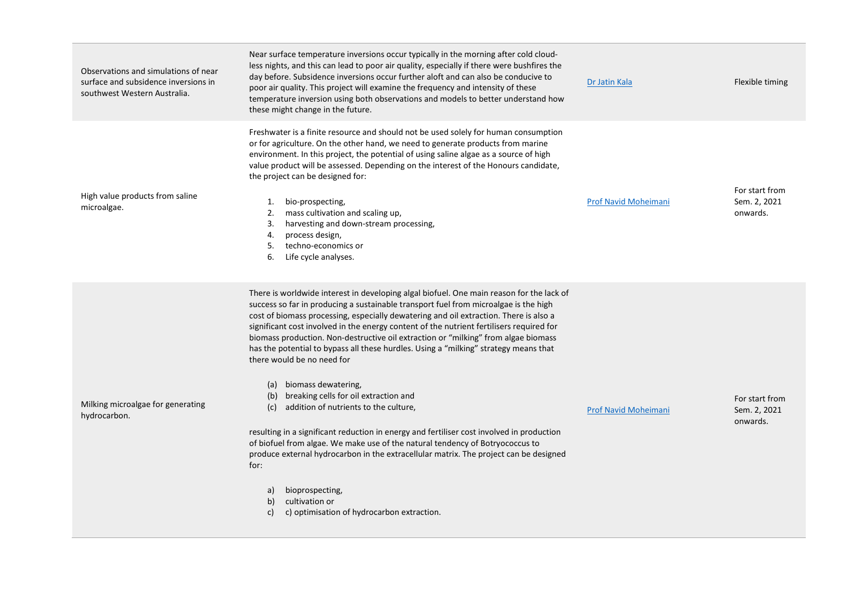| Observations and simulations of near<br>surface and subsidence inversions in<br>southwest Western Australia. | Near surface temperature inversions occur typically in the morning after cold cloud-<br>less nights, and this can lead to poor air quality, especially if there were bushfires the<br>day before. Subsidence inversions occur further aloft and can also be conducive to<br>poor air quality. This project will examine the frequency and intensity of these<br>temperature inversion using both observations and models to better understand how<br>these might change in the future.                                                                                                                                                                                                                                                                                                                                                                                                                                                                                                                                                                                                        | Dr Jatin Kala               | Flexible timing                            |
|--------------------------------------------------------------------------------------------------------------|-----------------------------------------------------------------------------------------------------------------------------------------------------------------------------------------------------------------------------------------------------------------------------------------------------------------------------------------------------------------------------------------------------------------------------------------------------------------------------------------------------------------------------------------------------------------------------------------------------------------------------------------------------------------------------------------------------------------------------------------------------------------------------------------------------------------------------------------------------------------------------------------------------------------------------------------------------------------------------------------------------------------------------------------------------------------------------------------------|-----------------------------|--------------------------------------------|
| High value products from saline<br>microalgae.                                                               | Freshwater is a finite resource and should not be used solely for human consumption<br>or for agriculture. On the other hand, we need to generate products from marine<br>environment. In this project, the potential of using saline algae as a source of high<br>value product will be assessed. Depending on the interest of the Honours candidate,<br>the project can be designed for:<br>bio-prospecting,<br>1.<br>2.<br>mass cultivation and scaling up,<br>harvesting and down-stream processing,<br>3.<br>process design,<br>4.<br>techno-economics or<br>5.<br>6.<br>Life cycle analyses.                                                                                                                                                                                                                                                                                                                                                                                                                                                                                            | Prof Navid Moheimani        | For start from<br>Sem. 2, 2021<br>onwards. |
| Milking microalgae for generating<br>hydrocarbon.                                                            | There is worldwide interest in developing algal biofuel. One main reason for the lack of<br>success so far in producing a sustainable transport fuel from microalgae is the high<br>cost of biomass processing, especially dewatering and oil extraction. There is also a<br>significant cost involved in the energy content of the nutrient fertilisers required for<br>biomass production. Non-destructive oil extraction or "milking" from algae biomass<br>has the potential to bypass all these hurdles. Using a "milking" strategy means that<br>there would be no need for<br>(a) biomass dewatering,<br>(b) breaking cells for oil extraction and<br>addition of nutrients to the culture,<br>(c)<br>resulting in a significant reduction in energy and fertiliser cost involved in production<br>of biofuel from algae. We make use of the natural tendency of Botryococcus to<br>produce external hydrocarbon in the extracellular matrix. The project can be designed<br>for:<br>bioprospecting,<br>a)<br>cultivation or<br>b)<br>c) optimisation of hydrocarbon extraction.<br>C) | <b>Prof Navid Moheimani</b> | For start from<br>Sem. 2, 2021<br>onwards. |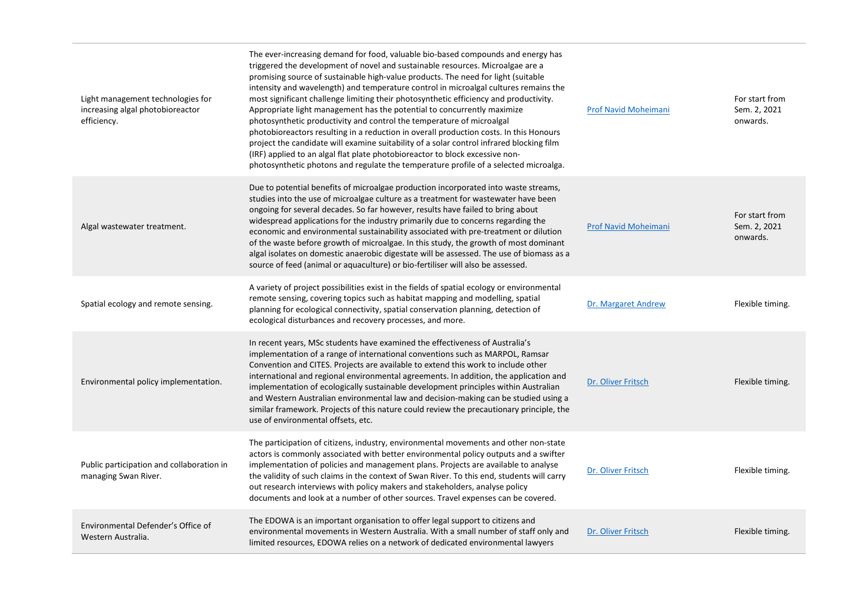| Light management technologies for<br>increasing algal photobioreactor<br>efficiency. | The ever-increasing demand for food, valuable bio-based compounds and energy has<br>triggered the development of novel and sustainable resources. Microalgae are a<br>promising source of sustainable high-value products. The need for light (suitable<br>intensity and wavelength) and temperature control in microalgal cultures remains the<br>most significant challenge limiting their photosynthetic efficiency and productivity.<br>Appropriate light management has the potential to concurrently maximize<br>photosynthetic productivity and control the temperature of microalgal<br>photobioreactors resulting in a reduction in overall production costs. In this Honours<br>project the candidate will examine suitability of a solar control infrared blocking film<br>(IRF) applied to an algal flat plate photobioreactor to block excessive non-<br>photosynthetic photons and regulate the temperature profile of a selected microalga. | Prof Navid Moheimani        | For start from<br>Sem. 2, 2021<br>onwards. |
|--------------------------------------------------------------------------------------|------------------------------------------------------------------------------------------------------------------------------------------------------------------------------------------------------------------------------------------------------------------------------------------------------------------------------------------------------------------------------------------------------------------------------------------------------------------------------------------------------------------------------------------------------------------------------------------------------------------------------------------------------------------------------------------------------------------------------------------------------------------------------------------------------------------------------------------------------------------------------------------------------------------------------------------------------------|-----------------------------|--------------------------------------------|
| Algal wastewater treatment.                                                          | Due to potential benefits of microalgae production incorporated into waste streams,<br>studies into the use of microalgae culture as a treatment for wastewater have been<br>ongoing for several decades. So far however, results have failed to bring about<br>widespread applications for the industry primarily due to concerns regarding the<br>economic and environmental sustainability associated with pre-treatment or dilution<br>of the waste before growth of microalgae. In this study, the growth of most dominant<br>algal isolates on domestic anaerobic digestate will be assessed. The use of biomass as a<br>source of feed (animal or aquaculture) or bio-fertiliser will also be assessed.                                                                                                                                                                                                                                             | <b>Prof Navid Moheimani</b> | For start from<br>Sem. 2, 2021<br>onwards. |
| Spatial ecology and remote sensing.                                                  | A variety of project possibilities exist in the fields of spatial ecology or environmental<br>remote sensing, covering topics such as habitat mapping and modelling, spatial<br>planning for ecological connectivity, spatial conservation planning, detection of<br>ecological disturbances and recovery processes, and more.                                                                                                                                                                                                                                                                                                                                                                                                                                                                                                                                                                                                                             | Dr. Margaret Andrew         | Flexible timing.                           |
| Environmental policy implementation.                                                 | In recent years, MSc students have examined the effectiveness of Australia's<br>implementation of a range of international conventions such as MARPOL, Ramsar<br>Convention and CITES. Projects are available to extend this work to include other<br>international and regional environmental agreements. In addition, the application and<br>implementation of ecologically sustainable development principles within Australian<br>and Western Australian environmental law and decision-making can be studied using a<br>similar framework. Projects of this nature could review the precautionary principle, the<br>use of environmental offsets, etc.                                                                                                                                                                                                                                                                                                | Dr. Oliver Fritsch          | Flexible timing.                           |
| Public participation and collaboration in<br>managing Swan River.                    | The participation of citizens, industry, environmental movements and other non-state<br>actors is commonly associated with better environmental policy outputs and a swifter<br>implementation of policies and management plans. Projects are available to analyse<br>the validity of such claims in the context of Swan River. To this end, students will carry<br>out research interviews with policy makers and stakeholders, analyse policy<br>documents and look at a number of other sources. Travel expenses can be covered.                                                                                                                                                                                                                                                                                                                                                                                                                        | Dr. Oliver Fritsch          | Flexible timing.                           |
| Environmental Defender's Office of<br>Western Australia.                             | The EDOWA is an important organisation to offer legal support to citizens and<br>environmental movements in Western Australia. With a small number of staff only and<br>limited resources, EDOWA relies on a network of dedicated environmental lawyers                                                                                                                                                                                                                                                                                                                                                                                                                                                                                                                                                                                                                                                                                                    | Dr. Oliver Fritsch          | Flexible timing.                           |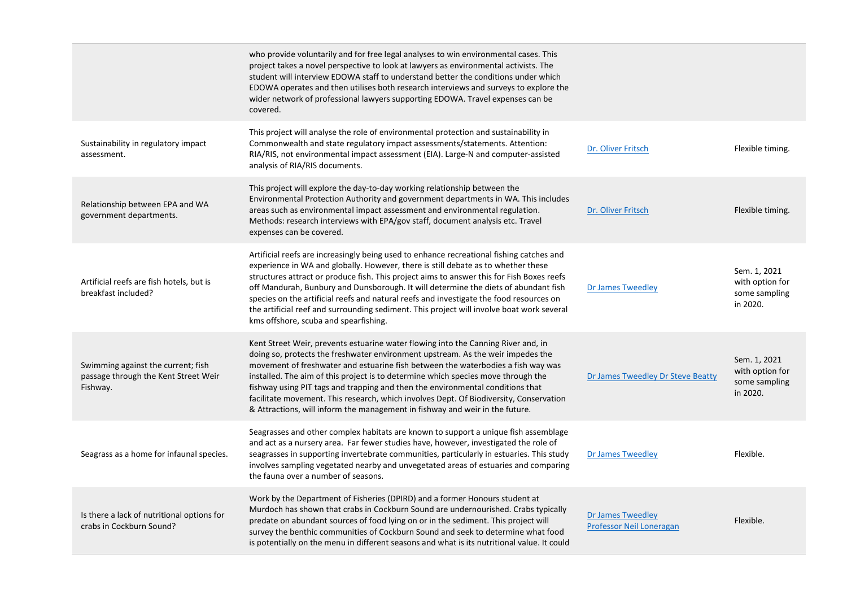|                                                                                        | who provide voluntarily and for free legal analyses to win environmental cases. This<br>project takes a novel perspective to look at lawyers as environmental activists. The<br>student will interview EDOWA staff to understand better the conditions under which<br>EDOWA operates and then utilises both research interviews and surveys to explore the<br>wider network of professional lawyers supporting EDOWA. Travel expenses can be<br>covered.                                                                                                                                                  |                                                      |                                                              |
|----------------------------------------------------------------------------------------|-----------------------------------------------------------------------------------------------------------------------------------------------------------------------------------------------------------------------------------------------------------------------------------------------------------------------------------------------------------------------------------------------------------------------------------------------------------------------------------------------------------------------------------------------------------------------------------------------------------|------------------------------------------------------|--------------------------------------------------------------|
| Sustainability in regulatory impact<br>assessment.                                     | This project will analyse the role of environmental protection and sustainability in<br>Commonwealth and state regulatory impact assessments/statements. Attention:<br>RIA/RIS, not environmental impact assessment (EIA). Large-N and computer-assisted<br>analysis of RIA/RIS documents.                                                                                                                                                                                                                                                                                                                | Dr. Oliver Fritsch                                   | Flexible timing.                                             |
| Relationship between EPA and WA<br>government departments.                             | This project will explore the day-to-day working relationship between the<br>Environmental Protection Authority and government departments in WA. This includes<br>areas such as environmental impact assessment and environmental regulation.<br>Methods: research interviews with EPA/gov staff, document analysis etc. Travel<br>expenses can be covered.                                                                                                                                                                                                                                              | Dr. Oliver Fritsch                                   | Flexible timing.                                             |
| Artificial reefs are fish hotels, but is<br>breakfast included?                        | Artificial reefs are increasingly being used to enhance recreational fishing catches and<br>experience in WA and globally. However, there is still debate as to whether these<br>structures attract or produce fish. This project aims to answer this for Fish Boxes reefs<br>off Mandurah, Bunbury and Dunsborough. It will determine the diets of abundant fish<br>species on the artificial reefs and natural reefs and investigate the food resources on<br>the artificial reef and surrounding sediment. This project will involve boat work several<br>kms offshore, scuba and spearfishing.        | <b>Dr James Tweedley</b>                             | Sem. 1, 2021<br>with option for<br>some sampling<br>in 2020. |
| Swimming against the current; fish<br>passage through the Kent Street Weir<br>Fishway. | Kent Street Weir, prevents estuarine water flowing into the Canning River and, in<br>doing so, protects the freshwater environment upstream. As the weir impedes the<br>movement of freshwater and estuarine fish between the waterbodies a fish way was<br>installed. The aim of this project is to determine which species move through the<br>fishway using PIT tags and trapping and then the environmental conditions that<br>facilitate movement. This research, which involves Dept. Of Biodiversity, Conservation<br>& Attractions, will inform the management in fishway and weir in the future. | Dr James Tweedley Dr Steve Beatty                    | Sem. 1, 2021<br>with option for<br>some sampling<br>in 2020. |
| Seagrass as a home for infaunal species.                                               | Seagrasses and other complex habitats are known to support a unique fish assemblage<br>and act as a nursery area. Far fewer studies have, however, investigated the role of<br>seagrasses in supporting invertebrate communities, particularly in estuaries. This study<br>involves sampling vegetated nearby and unvegetated areas of estuaries and comparing<br>the fauna over a number of seasons.                                                                                                                                                                                                     | <b>Dr James Tweedley</b>                             | Flexible.                                                    |
| Is there a lack of nutritional options for<br>crabs in Cockburn Sound?                 | Work by the Department of Fisheries (DPIRD) and a former Honours student at<br>Murdoch has shown that crabs in Cockburn Sound are undernourished. Crabs typically<br>predate on abundant sources of food lying on or in the sediment. This project will<br>survey the benthic communities of Cockburn Sound and seek to determine what food<br>is potentially on the menu in different seasons and what is its nutritional value. It could                                                                                                                                                                | <b>Dr James Tweedley</b><br>Professor Neil Loneragan | Flexible.                                                    |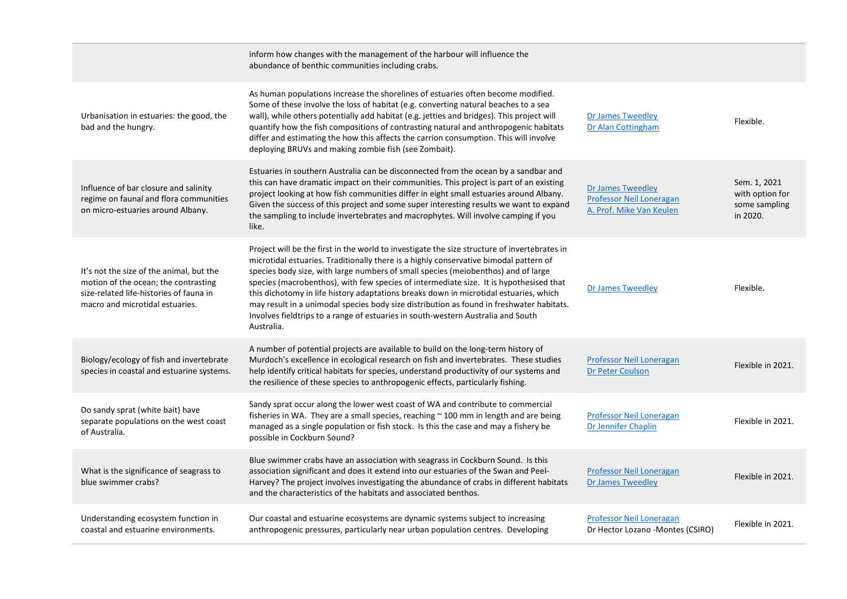|                                                                                                                                                                | inform how changes with the management of the harbour will influence the<br>abundance of benthic communities including crabs.                                                                                                                                                                                                                                                                                                                                                                                                                                                                                                                               |                                                                                         |                                                              |
|----------------------------------------------------------------------------------------------------------------------------------------------------------------|-------------------------------------------------------------------------------------------------------------------------------------------------------------------------------------------------------------------------------------------------------------------------------------------------------------------------------------------------------------------------------------------------------------------------------------------------------------------------------------------------------------------------------------------------------------------------------------------------------------------------------------------------------------|-----------------------------------------------------------------------------------------|--------------------------------------------------------------|
| Urbanisation in estuaries: the good, the<br>bad and the hungry.                                                                                                | As human populations increase the shorelines of estuaries often become modified.<br>Some of these involve the loss of habitat (e.g. converting natural beaches to a sea<br>wall), while others potentially add habitat (e.g. jetties and bridges). This project will<br>quantify how the fish compositions of contrasting natural and anthropogenic habitats<br>differ and estimating the how this affects the carrion consumption. This will involve<br>deploying BRUVs and making zombie fish (see Zombait).                                                                                                                                              | <b>Dr James Tweedley</b><br>Dr Alan Cottingham                                          | Flexible.                                                    |
| Influence of bar closure and salinity<br>regime on faunal and flora communities<br>on micro-estuaries around Albany.                                           | Estuaries in southern Australia can be disconnected from the ocean by a sandbar and<br>this can have dramatic impact on their communities. This project is part of an existing<br>project looking at how fish communities differ in eight small estuaries around Albany.<br>Given the success of this project and some super interesting results we want to expand<br>the sampling to include invertebrates and macrophytes. Will involve camping if you<br>like.                                                                                                                                                                                           | <b>Dr James Tweedley</b><br><b>Professor Neil Loneragan</b><br>A. Prof. Mike Van Keulen | Sem. 1, 2021<br>with option for<br>some sampling<br>in 2020. |
| It's not the size of the animal, but the<br>motion of the ocean; the contrasting<br>size-related life-histories of fauna in<br>macro and microtidal estuaries. | Project will be the first in the world to investigate the size structure of invertebrates in<br>microtidal estuaries. Traditionally there is a highly conservative bimodal pattern of<br>species body size, with large numbers of small species (meiobenthos) and of large<br>species (macrobenthos), with few species of intermediate size. It is hypothesised that<br>this dichotomy in life history adaptations breaks down in microtidal estuaries, which<br>may result in a unimodal species body size distribution as found in freshwater habitats.<br>Involves fieldtrips to a range of estuaries in south-western Australia and South<br>Australia. | <b>Dr James Tweedley</b>                                                                | Flexible.                                                    |
| Biology/ecology of fish and invertebrate<br>species in coastal and estuarine systems.                                                                          | A number of potential projects are available to build on the long-term history of<br>Murdoch's excellence in ecological research on fish and invertebrates. These studies<br>help identify critical habitats for species, understand productivity of our systems and<br>the resilience of these species to anthropogenic effects, particularly fishing.                                                                                                                                                                                                                                                                                                     | Professor Neil Loneragan<br><b>Dr Peter Coulson</b>                                     | Flexible in 2021.                                            |
| Do sandy sprat (white bait) have<br>separate populations on the west coast<br>of Australia.                                                                    | Sandy sprat occur along the lower west coast of WA and contribute to commercial<br>fisheries in WA. They are a small species, reaching ~ 100 mm in length and are being<br>managed as a single population or fish stock. Is this the case and may a fishery be<br>possible in Cockburn Sound?                                                                                                                                                                                                                                                                                                                                                               | Professor Neil Loneragan<br>Dr Jennifer Chaplin                                         | Flexible in 2021.                                            |
| What is the significance of seagrass to<br>blue swimmer crabs?                                                                                                 | Blue swimmer crabs have an association with seagrass in Cockburn Sound. Is this<br>association significant and does it extend into our estuaries of the Swan and Peel-<br>Harvey? The project involves investigating the abundance of crabs in different habitats<br>and the characteristics of the habitats and associated benthos.                                                                                                                                                                                                                                                                                                                        | Professor Neil Loneragan<br><b>Dr James Tweedley</b>                                    | Flexible in 2021.                                            |
| Understanding ecosystem function in<br>coastal and estuarine environments.                                                                                     | Our coastal and estuarine ecosystems are dynamic systems subject to increasing<br>anthropogenic pressures, particularly near urban population centres. Developing                                                                                                                                                                                                                                                                                                                                                                                                                                                                                           | <b>Professor Neil Loneragan</b><br>Dr Hector Lozano -Montes (CSIRO)                     | Flexible in 2021.                                            |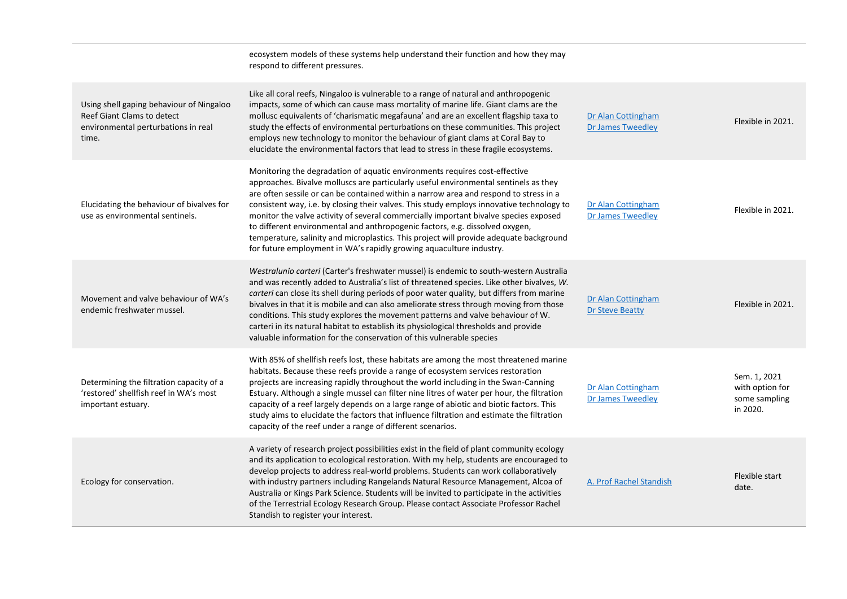|                                                                                                                        | ecosystem models of these systems help understand their function and how they may<br>respond to different pressures.                                                                                                                                                                                                                                                                                                                                                                                                                                                                                                                                                                              |                                                |                                                              |
|------------------------------------------------------------------------------------------------------------------------|---------------------------------------------------------------------------------------------------------------------------------------------------------------------------------------------------------------------------------------------------------------------------------------------------------------------------------------------------------------------------------------------------------------------------------------------------------------------------------------------------------------------------------------------------------------------------------------------------------------------------------------------------------------------------------------------------|------------------------------------------------|--------------------------------------------------------------|
| Using shell gaping behaviour of Ningaloo<br>Reef Giant Clams to detect<br>environmental perturbations in real<br>time. | Like all coral reefs, Ningaloo is vulnerable to a range of natural and anthropogenic<br>impacts, some of which can cause mass mortality of marine life. Giant clams are the<br>mollusc equivalents of 'charismatic megafauna' and are an excellent flagship taxa to<br>study the effects of environmental perturbations on these communities. This project<br>employs new technology to monitor the behaviour of giant clams at Coral Bay to<br>elucidate the environmental factors that lead to stress in these fragile ecosystems.                                                                                                                                                              | Dr Alan Cottingham<br><b>Dr James Tweedley</b> | Flexible in 2021.                                            |
| Elucidating the behaviour of bivalves for<br>use as environmental sentinels.                                           | Monitoring the degradation of aquatic environments requires cost-effective<br>approaches. Bivalve molluscs are particularly useful environmental sentinels as they<br>are often sessile or can be contained within a narrow area and respond to stress in a<br>consistent way, i.e. by closing their valves. This study employs innovative technology to<br>monitor the valve activity of several commercially important bivalve species exposed<br>to different environmental and anthropogenic factors, e.g. dissolved oxygen,<br>temperature, salinity and microplastics. This project will provide adequate background<br>for future employment in WA's rapidly growing aquaculture industry. | Dr Alan Cottingham<br><b>Dr James Tweedley</b> | Flexible in 2021.                                            |
| Movement and valve behaviour of WA's<br>endemic freshwater mussel.                                                     | Westralunio carteri (Carter's freshwater mussel) is endemic to south-western Australia<br>and was recently added to Australia's list of threatened species. Like other bivalves, W.<br>carteri can close its shell during periods of poor water quality, but differs from marine<br>bivalves in that it is mobile and can also ameliorate stress through moving from those<br>conditions. This study explores the movement patterns and valve behaviour of W.<br>carteri in its natural habitat to establish its physiological thresholds and provide<br>valuable information for the conservation of this vulnerable species                                                                     | Dr Alan Cottingham<br><b>Dr Steve Beatty</b>   | Flexible in 2021.                                            |
| Determining the filtration capacity of a<br>'restored' shellfish reef in WA's most<br>important estuary.               | With 85% of shellfish reefs lost, these habitats are among the most threatened marine<br>habitats. Because these reefs provide a range of ecosystem services restoration<br>projects are increasing rapidly throughout the world including in the Swan-Canning<br>Estuary. Although a single mussel can filter nine litres of water per hour, the filtration<br>capacity of a reef largely depends on a large range of abiotic and biotic factors. This<br>study aims to elucidate the factors that influence filtration and estimate the filtration<br>capacity of the reef under a range of different scenarios.                                                                                | Dr Alan Cottingham<br><b>Dr James Tweedley</b> | Sem. 1, 2021<br>with option for<br>some sampling<br>in 2020. |
| Ecology for conservation.                                                                                              | A variety of research project possibilities exist in the field of plant community ecology<br>and its application to ecological restoration. With my help, students are encouraged to<br>develop projects to address real-world problems. Students can work collaboratively<br>with industry partners including Rangelands Natural Resource Management, Alcoa of<br>Australia or Kings Park Science. Students will be invited to participate in the activities<br>of the Terrestrial Ecology Research Group. Please contact Associate Professor Rachel<br>Standish to register your interest.                                                                                                      | A. Prof Rachel Standish                        | Flexible start<br>date.                                      |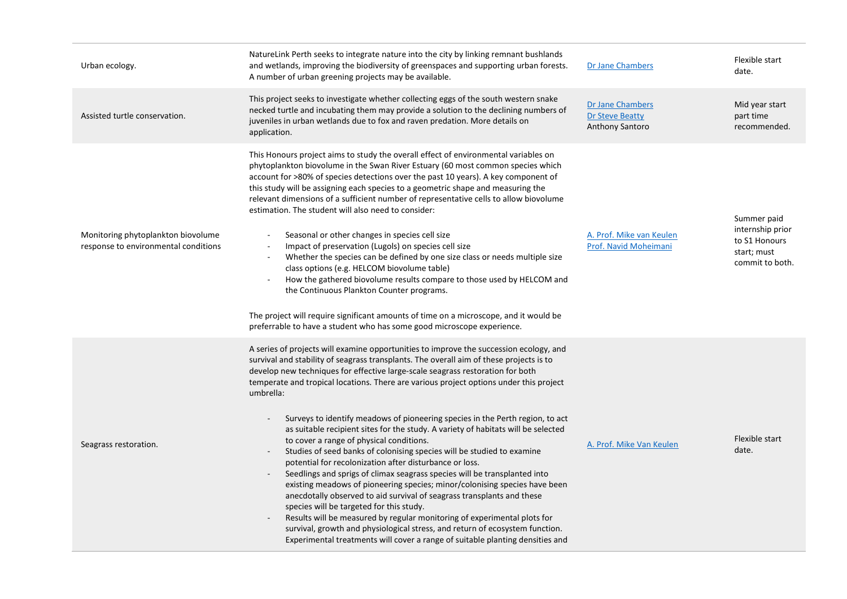| Urban ecology.                                                             | NatureLink Perth seeks to integrate nature into the city by linking remnant bushlands<br>and wetlands, improving the biodiversity of greenspaces and supporting urban forests.<br>A number of urban greening projects may be available.                                                                                                                                                                                                                                                                                                                                                                                                                                                                                                                                                                                                                                                                                                                                                                                                                                                                                                                                                                                                                         | Dr Jane Chambers                                       | Flexible start<br>date.                                                            |
|----------------------------------------------------------------------------|-----------------------------------------------------------------------------------------------------------------------------------------------------------------------------------------------------------------------------------------------------------------------------------------------------------------------------------------------------------------------------------------------------------------------------------------------------------------------------------------------------------------------------------------------------------------------------------------------------------------------------------------------------------------------------------------------------------------------------------------------------------------------------------------------------------------------------------------------------------------------------------------------------------------------------------------------------------------------------------------------------------------------------------------------------------------------------------------------------------------------------------------------------------------------------------------------------------------------------------------------------------------|--------------------------------------------------------|------------------------------------------------------------------------------------|
| Assisted turtle conservation.                                              | This project seeks to investigate whether collecting eggs of the south western snake<br>necked turtle and incubating them may provide a solution to the declining numbers of<br>juveniles in urban wetlands due to fox and raven predation. More details on<br>application.                                                                                                                                                                                                                                                                                                                                                                                                                                                                                                                                                                                                                                                                                                                                                                                                                                                                                                                                                                                     | Dr Jane Chambers<br>Dr Steve Beatty<br>Anthony Santoro | Mid year start<br>part time<br>recommended.                                        |
| Monitoring phytoplankton biovolume<br>response to environmental conditions | This Honours project aims to study the overall effect of environmental variables on<br>phytoplankton biovolume in the Swan River Estuary (60 most common species which<br>account for >80% of species detections over the past 10 years). A key component of<br>this study will be assigning each species to a geometric shape and measuring the<br>relevant dimensions of a sufficient number of representative cells to allow biovolume<br>estimation. The student will also need to consider:<br>Seasonal or other changes in species cell size<br>Impact of preservation (Lugols) on species cell size<br>Whether the species can be defined by one size class or needs multiple size<br>$\sim$<br>class options (e.g. HELCOM biovolume table)<br>How the gathered biovolume results compare to those used by HELCOM and<br>the Continuous Plankton Counter programs.<br>The project will require significant amounts of time on a microscope, and it would be<br>preferrable to have a student who has some good microscope experience.                                                                                                                                                                                                                    | A. Prof. Mike van Keulen<br>Prof. Navid Moheimani      | Summer paid<br>internship prior<br>to S1 Honours<br>start; must<br>commit to both. |
| Seagrass restoration.                                                      | A series of projects will examine opportunities to improve the succession ecology, and<br>survival and stability of seagrass transplants. The overall aim of these projects is to<br>develop new techniques for effective large-scale seagrass restoration for both<br>temperate and tropical locations. There are various project options under this project<br>umbrella:<br>Surveys to identify meadows of pioneering species in the Perth region, to act<br>as suitable recipient sites for the study. A variety of habitats will be selected<br>to cover a range of physical conditions.<br>Studies of seed banks of colonising species will be studied to examine<br>potential for recolonization after disturbance or loss.<br>Seedlings and sprigs of climax seagrass species will be transplanted into<br>existing meadows of pioneering species; minor/colonising species have been<br>anecdotally observed to aid survival of seagrass transplants and these<br>species will be targeted for this study.<br>Results will be measured by regular monitoring of experimental plots for<br>survival, growth and physiological stress, and return of ecosystem function.<br>Experimental treatments will cover a range of suitable planting densities and | A. Prof. Mike Van Keulen                               | Flexible start<br>date.                                                            |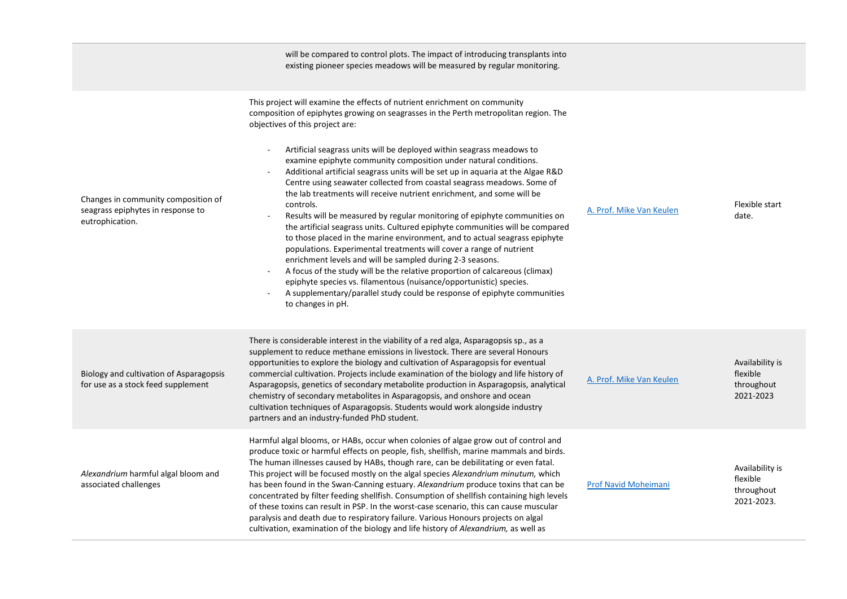|                                                                                             | will be compared to control plots. The impact of introducing transplants into<br>existing pioneer species meadows will be measured by regular monitoring.                                                                                                                                                                                                                                                                                                                                                                                                                                                                                                                                                                                                                                                                                                                                                                                                                                                                                                                                                                                                                                                                                  |                          |                                                         |
|---------------------------------------------------------------------------------------------|--------------------------------------------------------------------------------------------------------------------------------------------------------------------------------------------------------------------------------------------------------------------------------------------------------------------------------------------------------------------------------------------------------------------------------------------------------------------------------------------------------------------------------------------------------------------------------------------------------------------------------------------------------------------------------------------------------------------------------------------------------------------------------------------------------------------------------------------------------------------------------------------------------------------------------------------------------------------------------------------------------------------------------------------------------------------------------------------------------------------------------------------------------------------------------------------------------------------------------------------|--------------------------|---------------------------------------------------------|
| Changes in community composition of<br>seagrass epiphytes in response to<br>eutrophication. | This project will examine the effects of nutrient enrichment on community<br>composition of epiphytes growing on seagrasses in the Perth metropolitan region. The<br>objectives of this project are:<br>Artificial seagrass units will be deployed within seagrass meadows to<br>examine epiphyte community composition under natural conditions.<br>Additional artificial seagrass units will be set up in aquaria at the Algae R&D<br>Centre using seawater collected from coastal seagrass meadows. Some of<br>the lab treatments will receive nutrient enrichment, and some will be<br>controls.<br>Results will be measured by regular monitoring of epiphyte communities on<br>the artificial seagrass units. Cultured epiphyte communities will be compared<br>to those placed in the marine environment, and to actual seagrass epiphyte<br>populations. Experimental treatments will cover a range of nutrient<br>enrichment levels and will be sampled during 2-3 seasons.<br>A focus of the study will be the relative proportion of calcareous (climax)<br>epiphyte species vs. filamentous (nuisance/opportunistic) species.<br>A supplementary/parallel study could be response of epiphyte communities<br>to changes in pH. | A. Prof. Mike Van Keulen | Flexible start<br>date.                                 |
| Biology and cultivation of Asparagopsis<br>for use as a stock feed supplement               | There is considerable interest in the viability of a red alga, Asparagopsis sp., as a<br>supplement to reduce methane emissions in livestock. There are several Honours<br>opportunities to explore the biology and cultivation of Asparagopsis for eventual<br>commercial cultivation. Projects include examination of the biology and life history of<br>Asparagopsis, genetics of secondary metabolite production in Asparagopsis, analytical<br>chemistry of secondary metabolites in Asparagopsis, and onshore and ocean<br>cultivation techniques of Asparagopsis. Students would work alongside industry<br>partners and an industry-funded PhD student.                                                                                                                                                                                                                                                                                                                                                                                                                                                                                                                                                                            | A. Prof. Mike Van Keulen | Availability is<br>flexible<br>throughout<br>2021-2023  |
| Alexandrium harmful algal bloom and<br>associated challenges                                | Harmful algal blooms, or HABs, occur when colonies of algae grow out of control and<br>produce toxic or harmful effects on people, fish, shellfish, marine mammals and birds.<br>The human illnesses caused by HABs, though rare, can be debilitating or even fatal.<br>This project will be focused mostly on the algal species Alexandrium minutum, which<br>has been found in the Swan-Canning estuary. Alexandrium produce toxins that can be<br>concentrated by filter feeding shellfish. Consumption of shellfish containing high levels<br>of these toxins can result in PSP. In the worst-case scenario, this can cause muscular<br>paralysis and death due to respiratory failure. Various Honours projects on algal<br>cultivation, examination of the biology and life history of Alexandrium, as well as                                                                                                                                                                                                                                                                                                                                                                                                                       | Prof Navid Moheimani     | Availability is<br>flexible<br>throughout<br>2021-2023. |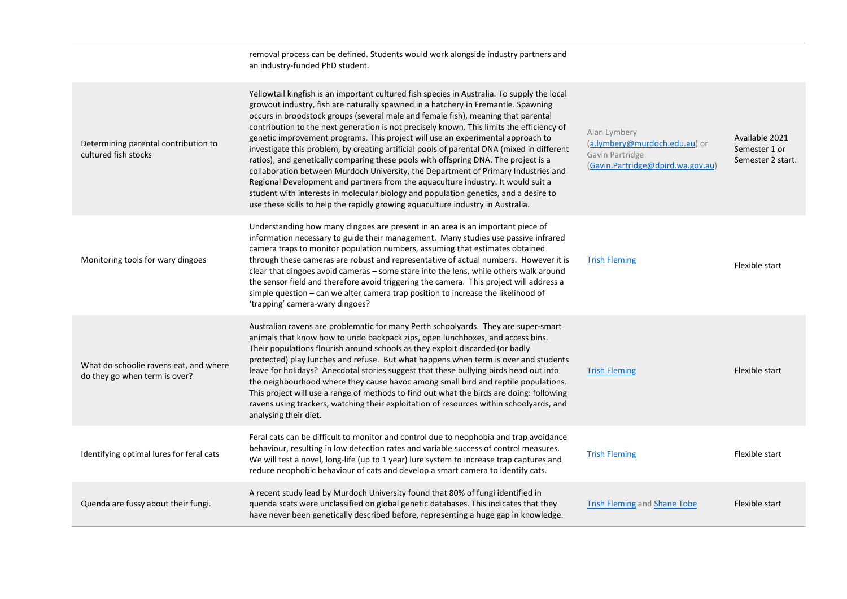|                                                                         | removal process can be defined. Students would work alongside industry partners and<br>an industry-funded PhD student.                                                                                                                                                                                                                                                                                                                                                                                                                                                                                                                                                                                                                                                                                                                                                                                                                                                                          |                                                                                                       |                                                      |
|-------------------------------------------------------------------------|-------------------------------------------------------------------------------------------------------------------------------------------------------------------------------------------------------------------------------------------------------------------------------------------------------------------------------------------------------------------------------------------------------------------------------------------------------------------------------------------------------------------------------------------------------------------------------------------------------------------------------------------------------------------------------------------------------------------------------------------------------------------------------------------------------------------------------------------------------------------------------------------------------------------------------------------------------------------------------------------------|-------------------------------------------------------------------------------------------------------|------------------------------------------------------|
| Determining parental contribution to<br>cultured fish stocks            | Yellowtail kingfish is an important cultured fish species in Australia. To supply the local<br>growout industry, fish are naturally spawned in a hatchery in Fremantle. Spawning<br>occurs in broodstock groups (several male and female fish), meaning that parental<br>contribution to the next generation is not precisely known. This limits the efficiency of<br>genetic improvement programs. This project will use an experimental approach to<br>investigate this problem, by creating artificial pools of parental DNA (mixed in different<br>ratios), and genetically comparing these pools with offspring DNA. The project is a<br>collaboration between Murdoch University, the Department of Primary Industries and<br>Regional Development and partners from the aquaculture industry. It would suit a<br>student with interests in molecular biology and population genetics, and a desire to<br>use these skills to help the rapidly growing aquaculture industry in Australia. | Alan Lymbery<br>(a.lymbery@murdoch.edu.au) or<br>Gavin Partridge<br>(Gavin.Partridge@dpird.wa.gov.au) | Available 2021<br>Semester 1 or<br>Semester 2 start. |
| Monitoring tools for wary dingoes                                       | Understanding how many dingoes are present in an area is an important piece of<br>information necessary to guide their management. Many studies use passive infrared<br>camera traps to monitor population numbers, assuming that estimates obtained<br>through these cameras are robust and representative of actual numbers. However it is<br>clear that dingoes avoid cameras - some stare into the lens, while others walk around<br>the sensor field and therefore avoid triggering the camera. This project will address a<br>simple question - can we alter camera trap position to increase the likelihood of<br>'trapping' camera-wary dingoes?                                                                                                                                                                                                                                                                                                                                        | <b>Trish Fleming</b>                                                                                  | Flexible start                                       |
| What do schoolie ravens eat, and where<br>do they go when term is over? | Australian ravens are problematic for many Perth schoolyards. They are super-smart<br>animals that know how to undo backpack zips, open lunchboxes, and access bins.<br>Their populations flourish around schools as they exploit discarded (or badly<br>protected) play lunches and refuse. But what happens when term is over and students<br>leave for holidays? Anecdotal stories suggest that these bullying birds head out into<br>the neighbourhood where they cause havoc among small bird and reptile populations.<br>This project will use a range of methods to find out what the birds are doing: following<br>ravens using trackers, watching their exploitation of resources within schoolyards, and<br>analysing their diet.                                                                                                                                                                                                                                                     | <b>Trish Fleming</b>                                                                                  | Flexible start                                       |
| Identifying optimal lures for feral cats                                | Feral cats can be difficult to monitor and control due to neophobia and trap avoidance<br>behaviour, resulting in low detection rates and variable success of control measures.<br>We will test a novel, long-life (up to 1 year) lure system to increase trap captures and<br>reduce neophobic behaviour of cats and develop a smart camera to identify cats.                                                                                                                                                                                                                                                                                                                                                                                                                                                                                                                                                                                                                                  | <b>Trish Fleming</b>                                                                                  | Flexible start                                       |
| Quenda are fussy about their fungi.                                     | A recent study lead by Murdoch University found that 80% of fungi identified in<br>quenda scats were unclassified on global genetic databases. This indicates that they<br>have never been genetically described before, representing a huge gap in knowledge.                                                                                                                                                                                                                                                                                                                                                                                                                                                                                                                                                                                                                                                                                                                                  | <b>Trish Fleming and Shane Tobe</b>                                                                   | Flexible start                                       |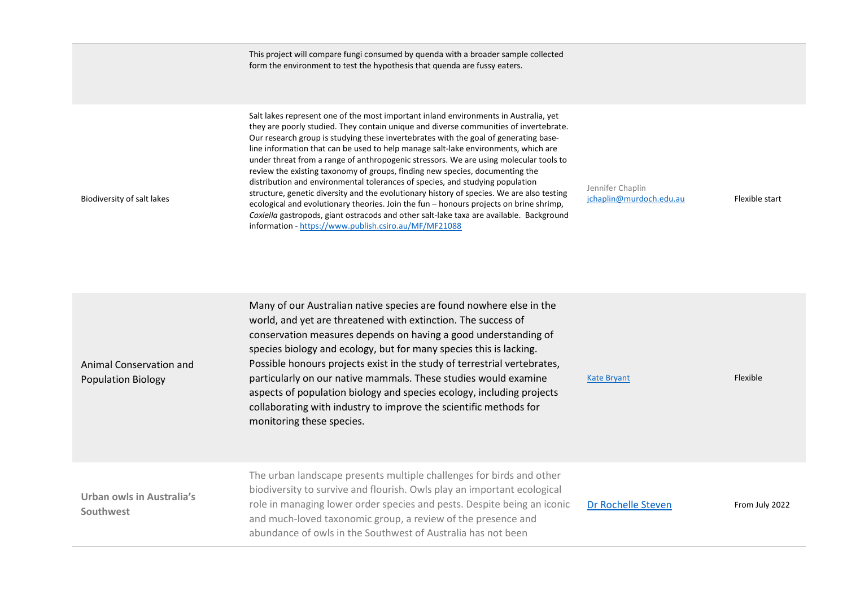|                                                      | This project will compare fungi consumed by quenda with a broader sample collected<br>form the environment to test the hypothesis that quenda are fussy eaters.                                                                                                                                                                                                                                                                                                                                                                                                                                                                                                                                                                                                                                                                                                                                                                                                  |                                             |                |
|------------------------------------------------------|------------------------------------------------------------------------------------------------------------------------------------------------------------------------------------------------------------------------------------------------------------------------------------------------------------------------------------------------------------------------------------------------------------------------------------------------------------------------------------------------------------------------------------------------------------------------------------------------------------------------------------------------------------------------------------------------------------------------------------------------------------------------------------------------------------------------------------------------------------------------------------------------------------------------------------------------------------------|---------------------------------------------|----------------|
| Biodiversity of salt lakes                           | Salt lakes represent one of the most important inland environments in Australia, yet<br>they are poorly studied. They contain unique and diverse communities of invertebrate.<br>Our research group is studying these invertebrates with the goal of generating base-<br>line information that can be used to help manage salt-lake environments, which are<br>under threat from a range of anthropogenic stressors. We are using molecular tools to<br>review the existing taxonomy of groups, finding new species, documenting the<br>distribution and environmental tolerances of species, and studying population<br>structure, genetic diversity and the evolutionary history of species. We are also testing<br>ecological and evolutionary theories. Join the fun - honours projects on brine shrimp,<br>Coxiella gastropods, giant ostracods and other salt-lake taxa are available. Background<br>information - https://www.publish.csiro.au/MF/MF21088 | Jennifer Chaplin<br>jchaplin@murdoch.edu.au | Flexible start |
| Animal Conservation and<br><b>Population Biology</b> | Many of our Australian native species are found nowhere else in the<br>world, and yet are threatened with extinction. The success of<br>conservation measures depends on having a good understanding of<br>species biology and ecology, but for many species this is lacking.<br>Possible honours projects exist in the study of terrestrial vertebrates,<br>particularly on our native mammals. These studies would examine<br>aspects of population biology and species ecology, including projects<br>collaborating with industry to improve the scientific methods for<br>monitoring these species.                                                                                                                                                                                                                                                                                                                                                          | <b>Kate Bryant</b>                          | Flexible       |
| Urban owls in Australia's<br>Southwest               | The urban landscape presents multiple challenges for birds and other<br>biodiversity to survive and flourish. Owls play an important ecological<br>role in managing lower order species and pests. Despite being an iconic<br>and much-loved taxonomic group, a review of the presence and<br>abundance of owls in the Southwest of Australia has not been                                                                                                                                                                                                                                                                                                                                                                                                                                                                                                                                                                                                       | Dr Rochelle Steven                          | From July 2022 |